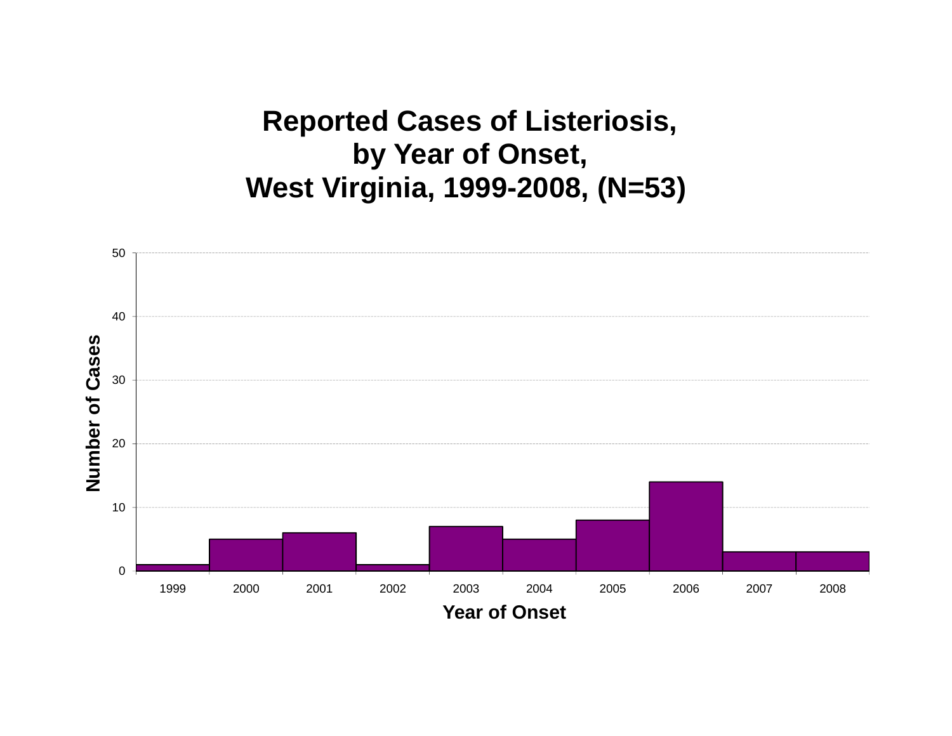**Reported Cases of Listeriosis, by Year of Onset, West Virginia, 1999-2008, (N=53)**

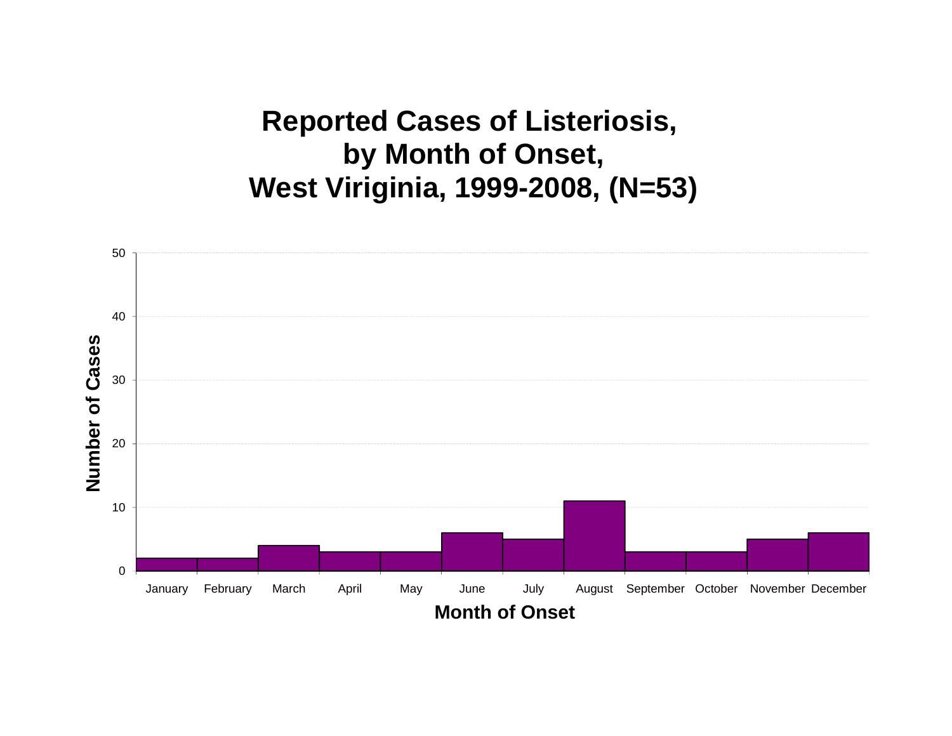**Reported Cases of Listeriosis, by Month of Onset, West Viriginia, 1999-2008, (N=53)**

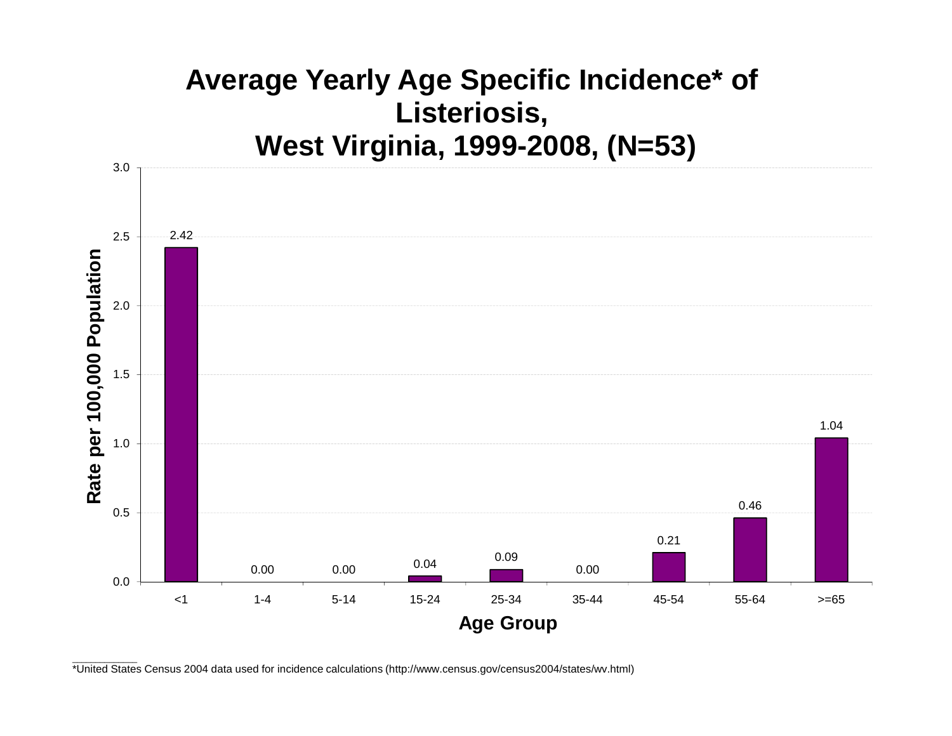

\_\_\_\_\_\_\_\_\_\_\_\_\_\_ \*United States Census 2004 data used for incidence calculations (http://www.census.gov/census2004/states/wv.html)